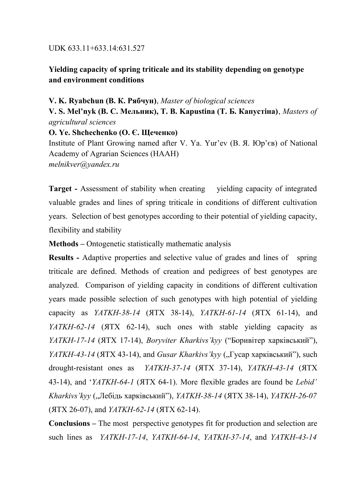## UDK 633.11+633.14:631.527

## **Yielding capacity of spring triticale and its stability depending on genotype and environment conditions**

## **V. K. Ryabchun (В. К. Рябчун)**, *Master of biological sciences*

**V. S. Mel'nyk (В. С. Мельник), T. B. Kapustina (Т. Б. Капустіна)**, *Masters of agricultural sciences*

**O. Ye. Shchechenko (О. Є. Щеченко)**

Institute of Plant Growing named after V. Ya. Yur'ev (В. Я. Юр'єв) of National Academy of Agrarian Sciences (НААН) *melnikver@yandex.ru*

**Target -** Assessment of stability when creating yielding capacity of integrated valuable grades and lines of spring triticale in conditions of different cultivation years. Selection of best genotypes according to their potential of yielding capacity, flexibility and stability

**Methods –** Ontogenetic statistically mathematic analysis

**Results** - Adaptive properties and selective value of grades and lines of spring triticale are defined. Methods of creation and pedigrees of best genotypes are analyzed. Comparison of yielding capacity in conditions of different cultivation years made possible selection of such genotypes with high potential of yielding capacity as *YATKH-38-14* (ЯТХ 38-14), *YATKH-61-14* (ЯТХ 61-14), and *YATKH-62-14* (ЯТХ 62-14), such ones with stable yielding capacity as *YATKH-17-14* (ЯТХ 17-14), *Boryviter Kharkivs'kyy* ("Боривітер харківський"), *YATKH-43-14 (ЯТХ 43-14), and <i>Gusar Kharkivs'kyy* ("Гусар харківський"), such drought-resistant ones as *YATKH-37-14* (ЯТХ 37-14), *YATKH-43-14* (ЯТХ 43-14), and '*YATKH-64-1* (ЯТХ 64-1). More flexible grades are found be *Lebid' Kharkivs'kyy* ("Лебідь харківський"), *YATKH-38-14* (ЯТХ 38-14), *YATKH-26-07* (ЯТХ 26-07), and *YATKH-62-14* (ЯТХ 62-14).

**Conclusions –** The most perspective genotypes fit for production and selection are such lines as *YATKH-17-14*, *YATKH-64-14*, *YATKH-37-14*, and *YATKH-43-14*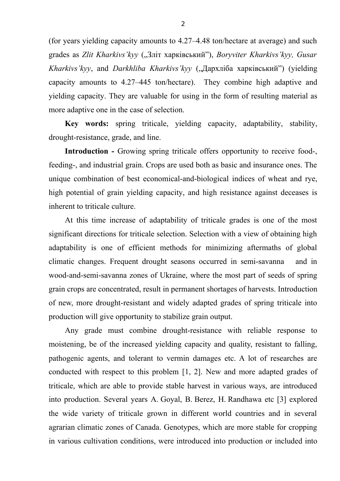(for years yielding capacity amounts to 4.27–4.48 ton/hectare at average) and such grades as *Zlit Kharkivs'kyy* ("Зліт харківський"), *Boryviter Kharkivs'kyy*, Gusar *Kharkivs'kyy*, and *Darkhliba Kharkivs'kyy* ("Дархліба харківський") (yielding capacity amounts to 4.27–445 ton/hectare). They combine high adaptive and yielding capacity. They are valuable for using in the form of resulting material as more adaptive one in the case of selection.

**Key words:** spring triticale, yielding capacity, adaptability, stability, drought-resistance, grade, and line.

**Introduction -** Growing spring triticale offers opportunity to receive food-, feeding-, and industrial grain. Crops are used both as basic and insurance ones. The unique combination of best economical-and-biological indices of wheat and rye, high potential of grain yielding capacity, and high resistance against deceases is inherent to triticale culture.

At this time increase of adaptability of triticale grades is one of the most significant directions for triticale selection. Selection with a view of obtaining high adaptability is one of efficient methods for minimizing aftermaths of global climatic changes. Frequent drought seasons occurred in semi-savanna and in wood-and-semi-savanna zones of Ukraine, where the most part of seeds of spring grain crops are concentrated, result in permanent shortages of harvests. Introduction of new, more drought-resistant and widely adapted grades of spring triticale into production will give opportunity to stabilize grain output.

Any grade must combine drought-resistance with reliable response to moistening, be of the increased yielding capacity and quality, resistant to falling, pathogenic agents, and tolerant to vermin damages etc. A lot of researches are conducted with respect to this problem [1, 2]. New and more adapted grades of triticale, which are able to provide stable harvest in various ways, are introduced into production. Several years A. Goyal, B. Berez, H. Randhawa etc [3] explored the wide variety of triticale grown in different world countries and in several agrarian climatic zones of Canada. Genotypes, which are more stable for cropping in various cultivation conditions, were introduced into production or included into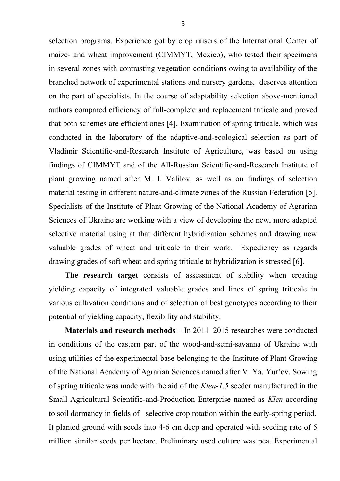selection programs. Experience got by crop raisers of the International Center of maize- and wheat improvement (СІММYT, Mexico), who tested their specimens in several zones with contrasting vegetation conditions owing to availability of the branched network of experimental stations and nursery gardens, deserves attention on the part of specialists. In the course of adaptability selection above-mentioned authors compared efficiency of full-complete and replacement triticale and proved that both schemes are efficient ones [4]. Examination of spring triticale, which was conducted in the laboratory of the adaptive-and-ecological selection as part of Vladimir Scientific-and-Research Institute of Agriculture, was based on using findings of СIMMYT and of the All-Russian Scientific-and-Research Institute of plant growing named after M. I. Valilov, as well as on findings of selection material testing in different nature-and-climate zones of the Russian Federation [5]. Specialists of the Institute of Plant Growing of the National Academy of Agrarian Sciences of Ukraine are working with a view of developing the new, more adapted selective material using at that different hybridization schemes and drawing new valuable grades of wheat and triticale to their work. Expediency as regards drawing grades of soft wheat and spring triticale to hybridization is stressed [6].

**The research target** consists of assessment of stability when creating yielding capacity of integrated valuable grades and lines of spring triticale in various cultivation conditions and of selection of best genotypes according to their potential of yielding capacity, flexibility and stability.

**Materials and research methods –** In 2011–2015 researches were conducted in conditions of the eastern part of the wood-and-semi-savanna of Ukraine with using utilities of the experimental base belonging to the Institute of Plant Growing of the National Academy of Agrarian Sciences named after V. Ya. Yur'ev. Sowing of spring triticale was made with the aid of the *Klen-1.5* seeder manufactured in the Small Agricultural Scientific-and-Production Enterprise named as *Klen* according to soil dormancy in fields of selective crop rotation within the early-spring period*.* It planted ground with seeds into 4-6 cm deep and operated with seeding rate of 5 million similar seeds per hectare. Preliminary used culture was pea. Experimental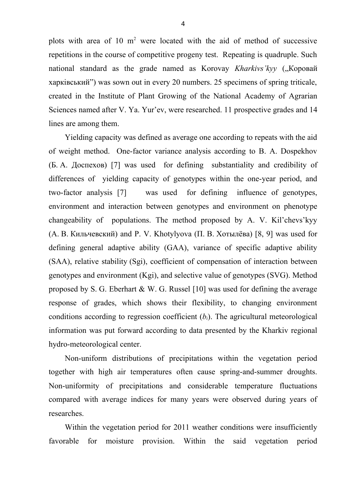plots with area of 10  $m<sup>2</sup>$  were located with the aid of method of successive repetitions in the course of competitive progeny test. Repeating is quadruple. Such national standard as the grade named as Korovay *Kharkivs'kyy* ("Коровай харківський") was sown out in every 20 numbers. 25 specimens of spring triticale, created in the Institute of Plant Growing of the National Academy of Agrarian Sciences named after V. Ya. Yur'ev, were researched. 11 prospective grades and 14 lines are among them.

Yielding capacity was defined as average one according to repeats with the aid of weight method. One-factor variance analysis according to B. A. Dospekhov (Б. А. Доспехов) [7] was used for defining substantiality and credibility of differences of yielding capacity of genotypes within the one-year period, and two-factor analysis [7] was used for defining influence of genotypes, environment and interaction between genotypes and environment on phenotype changeability of populations. The method proposed by A. V. Kil'chevs'kyy (А. В. Кильчевский) and P. V. Khotylyova (П. В. Хотылёва) [8, 9] was used for defining general adaptive ability (GAA), variance of specific adaptive ability (SAA), relative stability (Sgi), coefficient of compensation of interaction between genotypes and environment (Kgi), and selective value of genotypes (SVG). Method proposed by S. G. Eberhart  $&$  W. G. Russel [10] was used for defining the average response of grades, which shows their flexibility, to changing environment conditions according to regression coefficient  $(b_i)$ . The agricultural meteorological information was put forward according to data presented by the Kharkiv regional hydro-meteorological center.

Non-uniform distributions of precipitations within the vegetation period together with high air temperatures often cause spring-and-summer droughts. Non-uniformity of precipitations and considerable temperature fluctuations compared with average indices for many years were observed during years of researches.

Within the vegetation period for 2011 weather conditions were insufficiently favorable for moisture provision. Within the said vegetation period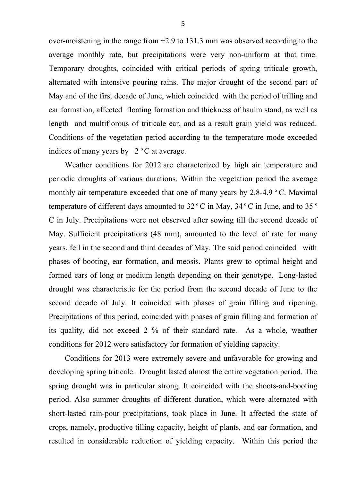over-moistening in the range from +2.9 to 131.3 mm was observed according to the average monthly rate, but precipitations were very non-uniform at that time. Temporary droughts, coincided with critical periods of spring triticale growth, alternated with intensive pouring rains. The major drought of the second part of May and of the first decade of June, which coincided with the period of trilling and ear formation, affected floating formation and thickness of haulm stand, as well as length and multiflorous of triticale ear, and as a result grain yield was reduced. Conditions of the vegetation period according to the temperature mode exceeded indices of many years by  $2^{\circ}$ C at average.

Weather conditions for 2012 are characterized by high air temperature and periodic droughts of various durations. Within the vegetation period the average monthly air temperature exceeded that one of many years by  $2.8-4.9 \degree$  C. Maximal temperature of different days amounted to  $32^{\circ}$ C in May,  $34^{\circ}$ C in June, and to  $35^{\circ}$ С in July. Precipitations were not observed after sowing till the second decade of May. Sufficient precipitations (48 mm), amounted to the level of rate for many years, fell in the second and third decades of May. The said period coincided with phases of booting, ear formation, and meosis. Plants grew to optimal height and formed ears of long or medium length depending on their genotype. Long-lasted drought was characteristic for the period from the second decade of June to the second decade of July. It coincided with phases of grain filling and ripening. Precipitations of this period, coincided with phases of grain filling and formation of its quality, did not exceed 2 % of their standard rate. As a whole, weather conditions for 2012 were satisfactory for formation of yielding capacity.

Conditions for 2013 were extremely severe and unfavorable for growing and developing spring triticale. Drought lasted almost the entire vegetation period. The spring drought was in particular strong. It coincided with the shoots-and-booting period. Also summer droughts of different duration, which were alternated with short-lasted rain-pour precipitations, took place in June. It affected the state of crops, namely, productive tilling capacity, height of plants, and ear formation, and resulted in considerable reduction of yielding capacity. Within this period the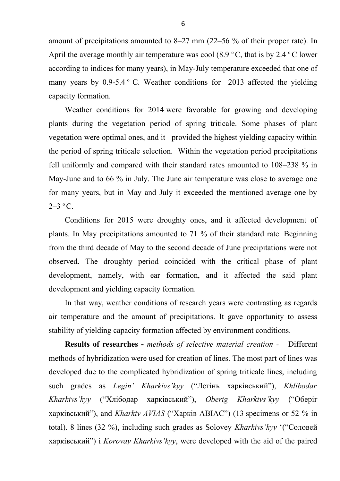amount of precipitations amounted to 8–27 mm (22–56 % of their proper rate). In April the average monthly air temperature was cool  $(8.9 \degree C,$  that is by 2.4  $\degree C$  lower according to indices for many years), in May-July temperature exceeded that one of many years by  $0.9-5.4$  ° C. Weather conditions for 2013 affected the yielding capacity formation.

Weather conditions for 2014 were favorable for growing and developing plants during the vegetation period of spring triticale. Some phases of plant vegetation were optimal ones, and it provided the highest yielding capacity within the period of spring triticale selection. Within the vegetation period precipitations fell uniformly and compared with their standard rates amounted to 108–238 % in May-June and to 66 % in July. The June air temperature was close to average one for many years, but in May and July it exceeded the mentioned average one by  $2-3$  °C.

Conditions for 2015 were droughty ones, and it affected development of plants. In May precipitations amounted to 71 % of their standard rate. Beginning from the third decade of May to the second decade of June precipitations were not observed. The droughty period coincided with the critical phase of plant development, namely, with ear formation, and it affected the said plant development and yielding capacity formation.

In that way, weather conditions of research years were contrasting as regards air temperature and the amount of precipitations. It gave opportunity to assess stability of yielding capacity formation affected by environment conditions.

**Results of researches -** *methods of selective material creation -* Different methods of hybridization were used for creation of lines. The most part of lines was developed due to the complicated hybridization of spring triticale lines, including such grades as *Legin' Kharkivs'kyy* ("Легінь харківський"), *Khlibodar Kharkivs'kyy* ("Хлібодар харківський"), *Oberig Kharkivs'kyy* ("Оберіг харківський"), and *Kharkiv AVIAS* ("Харків АВІАС") (13 specimens or 52 % in total). 8 lines (32 %), including such grades as Solovey *Kharkivs'kyy* '("Соловей харківський") і *Korovay Kharkivs'kyy*, were developed with the aid of the paired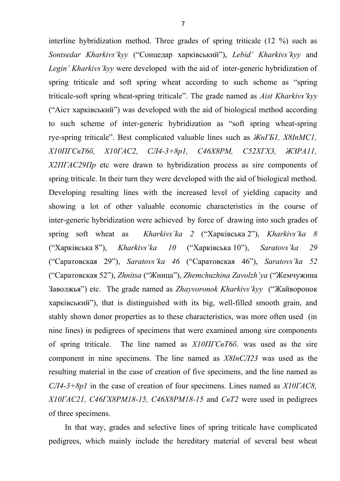interline hybridization method. Three grades of spring triticale (12 %) such as *Sontsedar Kharkivs'kyy* ("Сонцедар харківський"), *Lebid' Kharkivs'kyy* and *Legin' Kharkivs'kyy* were developed with the aid of inter-generic hybridization of spring triticale and soft spring wheat according to such scheme as "spring triticale-soft spring wheat-spring triticale". The grade named as *Aist Kharkivs'kyy* ("Аіст харківський") was developed with the aid of biological method according to such scheme of inter-generic hybridization as "soft spring wheat-spring rye-spring triticale". Best complicated valuable lines such as *ЖнГБ1, Х8InМС1, Х10ПГСвТ6б, Х10ГАС2, СЛ4-3+8р1, С46Х8РМ, С52ХГХ3, ЖЗРА11, Х2ПГАС29Пр* etc were drawn to hybridization process as sire components of spring triticale. In their turn they were developed with the aid of biological method. Developing resulting lines with the increased level of yielding capacity and showing a lot of other valuable economic characteristics in the course of inter-generic hybridization were achieved by force of drawing into such grades of spring soft wheat as *Kharkivs'ka 2* ("Харківська 2"), *Kharkivs'ka 8* ("Харківська 8"), *Kharkivs'ka 10* ("Харківська 10"), *Saratovs'ka 29* ("Саратовская 29"), *Saratovs'ka 46* ("Саратовская 46"), *Saratovs'ka 52* ("Саратовская 52"), *Zhnitsa* ("Жница"), *Zhemchuzhina Zavolzh'ya* ("Жемчужина Заволжья") etc. The grade named as *Zhayvoronok Kharkivs'kyy* ("Жайворонок харківський"), that is distinguished with its big, well-filled smooth grain, and stably shown donor properties as to these characteristics, was more often used (in nine lines) in pedigrees of specimens that were examined among sire components of spring triticale. The line named as *Х10ПГСвТ6б*. was used as the sire component in nine specimens. The line named as *Х8InСЛ23* was used as the resulting material in the case of creation of five specimens, and the line named as *СЛ4-3+8р1* in the case of creation of four specimens. Lines named as *Х10ГАС8, Х10ГАС21, С46ГХ8РМ18-15, С46Х8РМ18-15* and *СвТ2* were used in pedigrees of three specimens.

In that way, grades and selective lines of spring triticale have complicated pedigrees, which mainly include the hereditary material of several best wheat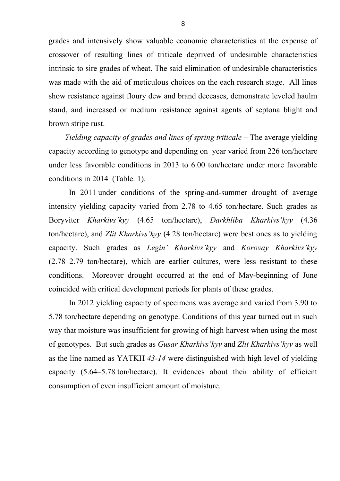grades and intensively show valuable economic characteristics at the expense of crossover of resulting lines of triticale deprived of undesirable characteristics intrinsic to sire grades of wheat. The said elimination of undesirable characteristics was made with the aid of meticulous choices on the each research stage. All lines show resistance against floury dew and brand deceases, demonstrate leveled haulm stand, and increased or medium resistance against agents of septona blight and brown stripe rust.

*Yielding capacity of grades and lines of spring triticale – The average yielding* capacity according to genotype and depending on year varied from 226 ton/hectare under less favorable conditions in 2013 to 6.00 ton/hectare under more favorable conditions in 2014 (Table. 1).

In 2011 under conditions of the spring-and-summer drought of average intensity yielding capacity varied from 2.78 to 4.65 ton/hectare. Such grades as Boryviter *Kharkivs'kyy* (4.65 ton/hectare), *Darkhliba Kharkivs'kyy* (4.36 ton/hectare), and *Zlit Kharkivs'kyy* (4.28 ton/hectare) were best ones as to yielding capacity. Such grades as *Legin' Kharkivs'kyy* and *Korovay Kharkivs'kyy* (2.78–2.79 ton/hectare), which are earlier cultures, were less resistant to these conditions. Moreover drought occurred at the end of May-beginning of June coincided with critical development periods for plants of these grades.

In 2012 yielding capacity of specimens was average and varied from 3.90 to 5.78 ton/hectare depending on genotype. Conditions of this year turned out in such way that moisture was insufficient for growing of high harvest when using the most of genotypes. But such grades as *Gusar Kharkivs'kyy* and *Zlit Kharkivs'kyy* as well as the line named as YATKH *43-14* were distinguished with high level of yielding capacity (5.64–5.78 ton/hectare). It evidences about their ability of efficient consumption of even insufficient amount of moisture.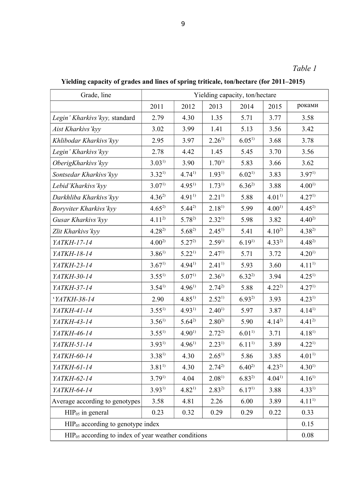**Yielding capacity of grades and lines of spring triticale, ton/hectare (for 2011–2015)**

| Grade, line                                              | Yielding capacity, ton/hectare |            |                   |                   |            |                   |  |  |
|----------------------------------------------------------|--------------------------------|------------|-------------------|-------------------|------------|-------------------|--|--|
|                                                          | 2011                           | 2012       | 2013              | 2014              | 2015       | роками            |  |  |
| Legin' Kharkivs' kyy, standard                           | 2.79                           | 4.30       | 1.35              | 5.71              | 3.77       | 3.58              |  |  |
| Aist Kharkivs 'kyy                                       | 3.02                           | 3.99       | 1.41              | 5.13              | 3.56       | 3.42              |  |  |
| Khlibodar Kharkivs' kyy                                  | 2.95                           | 3.97       | $2.26^{1}$        | $6.05^{1}$        | 3.68       | 3.78              |  |  |
| Legin' Kharkivs' kyy                                     | 2.78                           | 4.42       | 1.45              | 5.45              | 3.70       | 3.56              |  |  |
| OberigKharkivs'kyy                                       | $3.03^{1}$                     | 3.90       | $1.70^{1}$        | 5.83              | 3.66       | 3.62              |  |  |
| Sontsedar Kharkivs' kyy                                  | $3.32^{1}$                     | $4.74^{1}$ | $1.93^{1}$        | $6.02^{1}$        | 3.83       | $3.97^{1}$        |  |  |
| Lebid'Kharkivs' kyy                                      | 3.07 <sup>1</sup>              | $4.95^{1}$ | $1.73^{1}$        | $6.36^{2}$        | 3.88       | $4.00^{1}$        |  |  |
| Darkhliba Kharkivs' kyy                                  | $4.36^{2}$                     | $4.91^{1}$ | $2.21^{1}$        | 5.88              | $4.01^{1}$ | 4.27 <sup>1</sup> |  |  |
| Boryviter Kharkivs' kyy                                  | $4.65^{2}$                     | $5.44^{2}$ | $2.18^{1}$        | 5.99              | $4.00^{1}$ | $4.45^{2}$        |  |  |
| Gusar Kharkivs' kyy                                      | $4.11^{2}$                     | $5.78^{2}$ | $2.32^{1}$        | 5.98              | 3.82       | $4.40^{2}$        |  |  |
| Zlit Kharkivs' kyy                                       | $4.28^{2}$                     | $5.68^{2}$ | $2.45^{1}$        | 5.41              | $4.10^{2}$ | $4.38^{2}$        |  |  |
| YATKH-17-14                                              | $4.00^{2}$                     | $5.27^{2}$ | $2.59^{1}$        | $6.19^{1}$        | $4.33^{2}$ | $4.48^{2}$        |  |  |
| YATKH-18-14                                              | $3.86^{1}$                     | $5.22^{1}$ | 2.47 <sup>1</sup> | 5.71              | 3.72       | $4.20^{1}$        |  |  |
| YATKH-23-14                                              | $3.67^{1}$                     | $4.94^{1}$ | $2.41^{1}$        | 5.93              | 3.60       | $4.11^{1}$        |  |  |
| YATKH-30-14                                              | $3.55^{1}$                     | $5.07^{1}$ | $2.36^{1}$        | $6.32^{2}$        | 3.94       | $4.25^{1}$        |  |  |
| YATKH-37-14                                              | $3.54^{1}$                     | $4.96^{1}$ | $2.74^{2}$        | 5.88              | $4.22^{2}$ | 4.27 <sup>1</sup> |  |  |
| 'YATKH-38-14                                             | 2.90                           | $4.85^{1}$ | $2.52^{1}$        | $6.93^{2}$        | 3.93       | $4.23^{1}$        |  |  |
| YATKH-41-14                                              | $3.55^{1}$                     | $4.93^{1}$ | $2.40^{1}$        | 5.97              | 3.87       | $4.14^{1}$        |  |  |
| YATKH-43-14                                              | $3.56^{1}$                     | $5.64^{2}$ | $2.80^{2}$        | 5.90              | $4.14^{2}$ | $4.41^{2}$        |  |  |
| YATKH-46-14                                              | $3.55^{1}$                     | $4.90^{1}$ | $2.72^{2}$        | $6.01^{1}$        | 3.71       | $4.18^{1}$        |  |  |
| <i>YATKH-51-14</i>                                       | $3.93^{1}$                     | $4.96^{1}$ | $2.23^{11}$       | $6.11^{1}$        | 3.89       | $4.22^{1}$        |  |  |
| YATKH-60-14                                              | $3.38^{1}$                     | 4.30       | $2.65^{1}$        | 5.86              | 3.85       | $4.01^{1}$        |  |  |
| YATKH-61-14                                              | $3.81^{1}$                     | 4.30       | $2.74^{2}$        | $6.40^{2}$        | $4.23^{2}$ | $4.30^{1}$        |  |  |
| YATKH-62-14                                              | $3.79^{1}$                     | 4.04       | $2.08^{1}$        | $6.83^{2}$        | $4.04^{1}$ | $4.16^{1}$        |  |  |
| YATKH-64-14                                              | $3.93^{1}$                     | $4.82^{1}$ | $2.83^{2}$        | 6.17 <sup>1</sup> | 3.88       | $4.33^{1}$        |  |  |
| Average according to genotypes                           | 3.58                           | 4.81       | 2.26              | 6.00              | 3.89       | $4.11^{1}$        |  |  |
| $HIP05$ in general                                       | 0.23                           | 0.32       | 0.29              | 0.29              | 0.22       | 0.33              |  |  |
| $HIP_{05}$ according to genotype index                   |                                |            |                   |                   |            |                   |  |  |
| $HIP_{05}$ according to index of year weather conditions |                                |            |                   |                   |            |                   |  |  |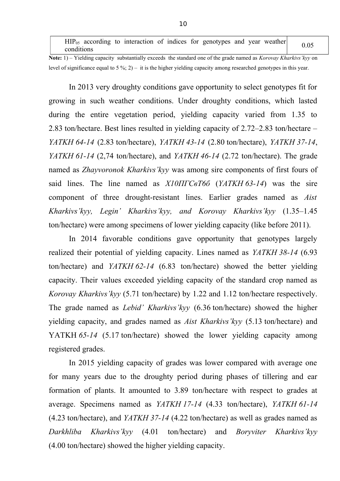$HIP<sub>05</sub>$  according to interaction of indices for genotypes and year weather  $0.05$ 

**Note:** 1) – Yielding capacity substantially exceeds the standard one of the grade named as *Korovay Kharkivs'kyy* on level of significance equal to 5 %; 2) – it is the higher yielding capacity among researched genotypes in this year.

In 2013 very droughty conditions gave opportunity to select genotypes fit for growing in such weather conditions. Under droughty conditions, which lasted during the entire vegetation period, yielding capacity varied from 1.35 to 2.83 ton/hectare. Best lines resulted in yielding capacity of 2.72–2.83 ton/hectare – *YATKH 64-14* (2.83 ton/hectare), *YATKH 43-14* (2.80 ton/hectare), *YATKH 37-14*, *YATKH 61-14* (2,74 ton/hectare), and *YATKH 46-14* (2.72 ton/hectare). The grade named as *Zhayvoronok Kharkivs'kyy* was among sire components of first fours of said lines. The line named as *Х10ПГСвТ6б* (*YATKH 63-14*) was the sire component of three drought-resistant lines. Earlier grades named as *Aist Kharkivs'kyy, Legin' Kharkivs'kyy, and Korovay Kharkivs'kyy* (1.35–1.45 ton/hectare) were among specimens of lower yielding capacity (like before 2011).

In 2014 favorable conditions gave opportunity that genotypes largely realized their potential of yielding capacity. Lines named as *YATKH 38-14* (6.93 ton/hectare) and *YATKH 62-14* (6.83 ton/hectare) showed the better yielding capacity. Their values exceeded yielding capacity of the standard crop named as *Korovay Kharkivs'kyy* (5.71 ton/hectare) by 1.22 and 1.12 ton/hectare respectively. The grade named as *Lebid' Kharkivs'kyy* (6.36 ton/hectare) showed the higher yielding capacity, and grades named as *Aist Kharkivs'kyy* (5.13 ton/hectare) and YATKH 65-14 (5.17 ton/hectare) showed the lower yielding capacity among registered grades.

In 2015 yielding capacity of grades was lower compared with average one for many years due to the droughty period during phases of tillering and ear formation of plants. It amounted to 3.89 ton/hectare with respect to grades at average. Specimens named as *YATKH 17-14* (4.33 ton/hectare), *YATKH 61-14* (4.23 ton/hectare), and *YATKH 37-14* (4.22 ton/hectare) as well as grades named as *Darkhliba Kharkivs'kyy* (4.01 ton/hectare) and *Boryviter Kharkivs'kyy* (4.00 ton/hectare) showed the higher yielding capacity.

10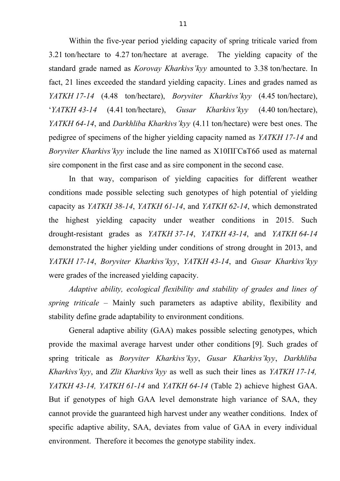Within the five-year period yielding capacity of spring triticale varied from 3.21 ton/hectare to 4.27 ton/hectare at average. The yielding capacity of the standard grade named as *Korovay Kharkivs'kyy* amounted to 3.38 ton/hectare. In fact, 21 lines exceeded the standard yielding capacity. Lines and grades named as *YATKH 17-14* (4.48 ton/hectare), *Boryviter Kharkivs'kyy* (4.45 ton/hectare), '*YATKH 43-14* (4.41 ton/hectare), *Gusar Kharkivs'kyy* (4.40 ton/hectare), *YATKH 64-14*, and *Darkhliba Kharkivs'kyy* (4.11 ton/hectare) were best ones. The pedigree of specimens of the higher yielding capacity named as *YATKH 17-14* and *Boryviter Kharkivs'kyy* include the line named as Х10ПГСвТ6б used as maternal sire component in the first case and as sire component in the second case.

In that way, comparison of yielding capacities for different weather conditions made possible selecting such genotypes of high potential of yielding capacity as *YATKH 38-14*, *YATKH 61-14*, and *YATKH 62-14*, which demonstrated the highest yielding capacity under weather conditions in 2015. Such drought-resistant grades as *YATKH 37-14*, *YATKH 43-14*, and *YATKH 64-14* demonstrated the higher yielding under conditions of strong drought in 2013, and *YATKH 17-14*, *Boryviter Kharkivs'kyy*, *YATKH 43-14*, and *Gusar Kharkivs'kyy* were grades of the increased yielding capacity.

*Adaptive ability, ecological flexibility and stability of grades and lines of spring triticale –* Mainly such parameters as adaptive ability, flexibility and stability define grade adaptability to environment conditions.

General adaptive ability (GAA) makes possible selecting genotypes, which provide the maximal average harvest under other conditions [9]. Such grades of spring triticale as *Boryviter Kharkivs'kyy*, *Gusar Kharkivs'kyy*, *Darkhliba Kharkivs'kyy*, and *Zlit Kharkivs'kyy* as well as such their lines as *YATKH 17-14, YATKH 43-14, YATKH 61-14* and *YATKH 64-14* (Table 2) achieve highest GAA. But if genotypes of high GAA level demonstrate high variance of SAA, they cannot provide the guaranteed high harvest under any weather conditions. Index of specific adaptive ability, SAA, deviates from value of GAA in every individual environment. Therefore it becomes the genotype stability index.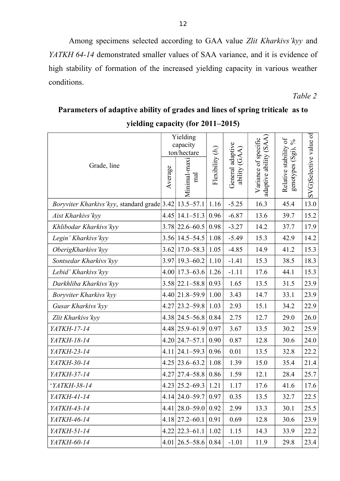Among specimens selected according to GAA value *Zlit Kharkivs'kyy* and *YATKH 64-14* demonstrated smaller values of SAA variance, and it is evidence of high stability of formation of the increased yielding capacity in various weather conditions.

*Table 2*

#### **yielding capacity (for 2011–2015)** Grade, line Yielding capacity ton/hectare Fle xibility (*bi*) General a daptiv eĪ ability (G A $\widehat{\mathcal{A}}$  $\blacktriangleright$ aria nceof sp ecific adaptiv eability (S A $\widehat{\mathcal{A}}$  $\approx$ elativ e stability  $\mathfrak{b}$  ; genoty p es (S gi), % Sele ctiv evalu eof7 Q e $\frac{1}{5.2}$  $\frac{60}{3.0}$  $\blacktriangleright$  $\widehat{\mathcal{G}}$ Avera geMinim al-m axi  $\Xi$ ಡ *Boryviter Kharkivs'kyy, standard grade* 3.42 13.5–57.1 1.16 -5.25 1 16.3 45.4 *Aist Kharkivs'kyy*  $|4.45|14.1-51.3|0.96|$  -6.87 | 13.6 | 39.7 *Khlibodar Kharkivs'kyy* 3.78 22.6–60.5 | 0.98 | -3.27 | 14.2 | 37.7 *Legin' Kharkivs'kyy* 3.56 14.5–54.5 1.08 -5.49 15.3 42.9 14.2 *OberigKharkivs'kyy* 3.62 17.0–58.3 1.05 -4.85 14.9 41.2 15.3 *Sontsedar Kharkivs'kyy* 3.97 19.3–60.2 1.10 -1.41 15.3 38.5 18.3 *Lebid' Kharkivs'kyy* 4.00 17.3–63.6 1.26 -1.11 17.6 44.1 15.3 *Darkhliba Kharkivs'kyy* 3.58 22.1–58.8 0.93 1.65 13.5 31.5 23.9 *Boryviter Kharkivs'kyy* 4.40 21.8–59.9 1.00 3.43 14.7 33.1 23.9 *Gusar Kharkivs'kyy* 4.27 23.2–59.8 1.03 2.93 15.1 34.2 22.9 *Zlit Kharkivs'kyy* 4.38 24.5–56.8 0.84 2.75 12.7 29.0 26.0 *YATKH-17-14*  $|4.48|25.9-61.9|0.97|$  3.67 | 13.5 | 30.2 | 25.9 *YATKH-18-14*  $|4.20|24.7-57.1|0.90|0.87|12.8|30.6|24.0$ *YATKH-23-14*  $|4.11|24.1-59.3|0.96|0.01|13.5|32.8|22.2$ *YATKH-30-14*  $|4.25|23.6-63.2|1.08|1.39|15.0|35.4|21.4$ *YATKH-37-14*  $|4.27|27.4-58.8|0.86|1.59|12.1|28.4|25.7$ *'YATKH-38-14*  $|4.23|25.2-69.3|1.21|1.17|17.6|11.6|17.6$ *YATKH-41-14* 4.14 24.0–59.7 | 0.97 | 0.35 | 13.5 | 32.7 | 22.5 *YATKH-43-14*  $|4.41|28.0-59.0|0.92|2.99|13.3|30.1|25.5$ *YATKH-46-14*  $|4.18|27.2-60.1|0.91|0.69|12.8|30.6|23.9$ *YATKH-51-14*  $|4.22|22.3-61.1|1.02|1.15|14.3|33.9|22.2$ *YATKH-60-14*  $|4.01|26.5-58.6|0.84|$  -1.01 11.9 29.8 23.4

# **Parameters of adaptive ability of grades and lines of spring triticale as to**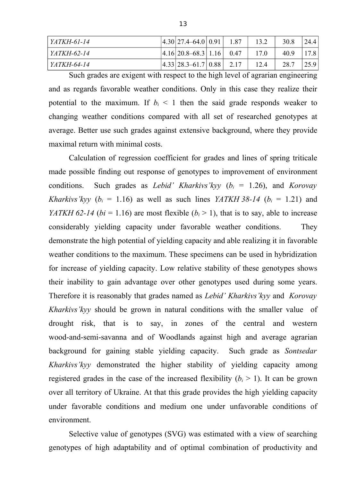| YATKH-61-14 | $ 4.30 27.4 - 64.0 0.91 $      | 1.87 | 13.2 | 30.8 | 24.4 |
|-------------|--------------------------------|------|------|------|------|
| YATKH-62-14 | $ 4.16 20.8-68.3 1.16 0.47$    |      | 17.0 | 40.9 | 17.8 |
| YATKH-64-14 | $ 4.33 28.3 - 61.7 0.88 $ 2.17 |      | 12.4 | 28.7 | 25.9 |

Such grades are exigent with respect to the high level of agrarian engineering and as regards favorable weather conditions. Only in this case they realize their potential to the maximum. If  $b_i < 1$  then the said grade responds weaker to changing weather conditions compared with all set of researched genotypes at average. Better use such grades against extensive background, where they provide maximal return with minimal costs.

Calculation of regression coefficient for grades and lines of spring triticale made possible finding out response of genotypes to improvement of environment conditions. Such grades as *Lebid' Kharkivs'kyy* ( $b_i = 1.26$ ), and *Korovay Kharkivs'kyy* ( $b_i = 1.16$ ) as well as such lines *YATKH* 38-14 ( $b_i = 1.21$ ) and *YATKH* 62-14 ( $bi = 1.16$ ) are most flexible ( $b_i > 1$ ), that is to say, able to increase considerably yielding capacity under favorable weather conditions. They demonstrate the high potential of yielding capacity and able realizing it in favorable weather conditions to the maximum. These specimens can be used in hybridization for increase of yielding capacity. Low relative stability of these genotypes shows their inability to gain advantage over other genotypes used during some years. Therefore it is reasonably that grades named as *Lebid' Kharkivs'kyy* and *Korovay Kharkivs'kyy* should be grown in natural conditions with the smaller value of drought risk, that is to say, in zones of the central and western wood-and-semi-savanna and of Woodlands against high and average agrarian background for gaining stable yielding capacity. Such grade as *Sontsedar Kharkivs'kyy* demonstrated the higher stability of yielding capacity among registered grades in the case of the increased flexibility  $(b<sub>i</sub> > 1)$ . It can be grown over all territory of Ukraine. At that this grade provides the high yielding capacity under favorable conditions and medium one under unfavorable conditions of environment.

Selective value of genotypes (SVG) was estimated with a view of searching genotypes of high adaptability and of optimal combination of productivity and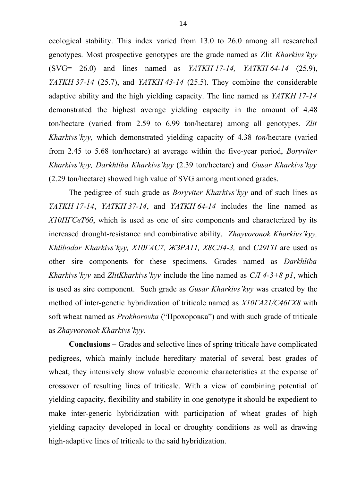ecological stability. This index varied from 13.0 to 26.0 among all researched genotypes. Most prospective genotypes are the grade named as Zlit *Kharkivs'kyy* (SVG= 26.0) and lines named as *YATKH 17-14, YATKH 64-14* (25.9), *YATKH 37-14* (25.7), and *YATKH 43-14* (25.5). They combine the considerable adaptive ability and the high yielding capacity. The line named as *YATKH 17-14* demonstrated the highest average yielding capacity in the amount of 4.48 ton/hectare (varied from 2.59 to 6.99 ton/hectare) among all genotypes. *Zlit Kharkivs'kyy,* which demonstrated yielding capacity of 4.38 *ton*/hectare (varied from 2.45 to 5.68 ton/hectare) at average within the five-year period, *Boryviter Kharkivs'kyy, Darkhliba Kharkivs'kyy* (2.39 ton/hectare) and *Gusar Kharkivs'kyy* (2.29 ton/hectare) showed high value of SVG among mentioned grades.

The pedigree of such grade as *Boryviter Kharkivs'kyy* and of such lines as *YATKH 17-14*, *YATKH 37-14*, and *YATKH 64-14* includes the line named as *Х10ПГСвТ6б*, which is used as one of sire components and characterized by its increased drought-resistance and combinative ability. *Zhayvoronok Kharkivs'kyy, Khlibodar Kharkivs'kyy, Х10ГАС7, ЖЗРА11, Х8СЛ4-3,* and *С29ГП* are used as other sire components for these specimens. Grades named as *Darkhliba Kharkivs'kyy* and *ZlitKharkivs'kyy* include the line named as *СЛ 4-3+8 р1*, which is used as sire component. Such grade as *Gusar Kharkivs'kyy* was created by the method of inter-genetic hybridization of triticale named as *Х10ГА21/С46ГХ8* with soft wheat named as *Prokhorovka* ("Прохоровка") and with such grade of triticale as *Zhayvoronok Kharkivs'kyy.*

**Conclusions –** Grades and selective lines of spring triticale have complicated pedigrees, which mainly include hereditary material of several best grades of wheat; they intensively show valuable economic characteristics at the expense of crossover of resulting lines of triticale. With a view of combining potential of yielding capacity, flexibility and stability in one genotype it should be expedient to make inter-generic hybridization with participation of wheat grades of high yielding capacity developed in local or droughty conditions as well as drawing high-adaptive lines of triticale to the said hybridization.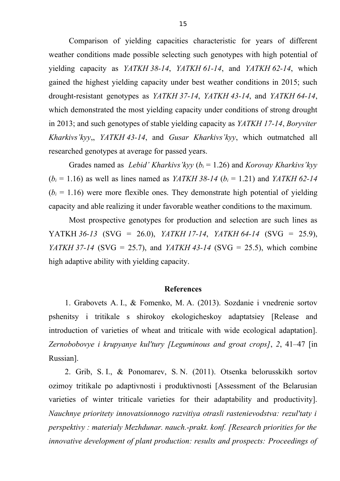Comparison of yielding capacities characteristic for years of different weather conditions made possible selecting such genotypes with high potential of yielding capacity as *YATKH 38-14*, *YATKH 61-14*, and *YATKH 62-14*, which gained the highest yielding capacity under best weather conditions in 2015; such drought-resistant genotypes as *YATKH 37-14*, *YATKH 43-14*, and *YATKH 64-14*, which demonstrated the most yielding capacity under conditions of strong drought in 2013; and such genotypes of stable yielding capacity as *YATKH 17-14*, *Boryviter Kharkivs'kyy*,, *YATKH 43-14*, and *Gusar Kharkivs'kyy*, which outmatched all researched genotypes at average for passed years.

Grades named as *Lebid' Kharkivs'kyy* (*b<sup>i</sup>* = 1.26) and *Korovay Kharkivs'kyy*  $(b_i = 1.16)$  as well as lines named as *YATKH* 38-14 ( $b_i = 1.21$ ) and *YATKH* 62-14  $(b<sub>i</sub> = 1.16)$  were more flexible ones. They demonstrate high potential of yielding capacity and able realizing it under favorable weather conditions to the maximum.

Most prospective genotypes for production and selection are such lines as YATKH *36-13* (SVG = 26.0), *YATKH 17-14*, *YATKH 64-14* (SVG = 25.9), *YATKH 37-14* (SVG = 25.7), and *YATKH 43-14* (SVG = 25.5), which combine high adaptive ability with yielding capacity.

### **References**

1. Grabovets A. I., & Fomenko, M. A. (2013). Sozdanie i vnedrenie sortov pshenitsy i tritikale s shirokoy ekologicheskoy adaptatsiey [Release and introduction of varieties of wheat and triticale with wide ecological adaptation]. *Zernobobovye i krupyanye kul'tury [Leguminous and groat crops]*, *2*, 41–47 [in Russian].

2. Grib, S. I., & Ponomarev, S. N. (2011). Otsenka belorusskikh sortov ozimoy tritikale po adaptivnosti i produktivnosti [Assessment of the Belarusian varieties of winter triticale varieties for their adaptability and productivity]. *Nauchnye prioritety innovatsionnogo razvitiya otrasli rastenievodstva: rezul'taty i perspektivy : materialy Mezhdunar. nauch.-prakt. konf. [Research priorities for the innovative development of plant production: results and prospects: Proceedings of*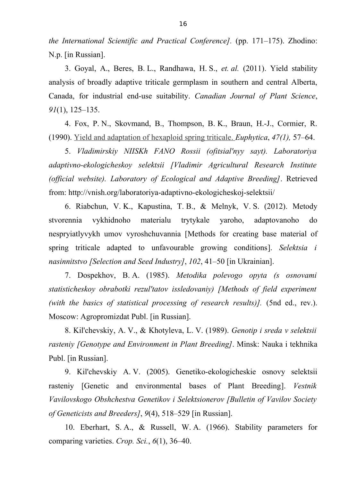*the International Scientific and Practical Conference].* (рр. 171–175). Zhodino: N.p. [in Russian].

3. Goyal, A., Beres, B. L., Randhawa, H. S., *et. al.* (2011). Yield stability analysis of broadly adaptive triticale germplasm in southern and central Alberta, Canada, for industrial end-use suitability. *Canadian Journal of Plant Science*, *91*(1), 125–135.

4. Fox, P. N., Skovmand, B., Thompson, B. K., Braun, H.-J., Cormier, R. (1990). [Yield and adaptation of hexaploid spring triticale.](http://www.researchgate.net/publication/226036640_Yield_and_adaptation_of_hexaploid_spring_triticale?ev=auth_pub) *Euphytica*, *47(1),* 57–64.

5. *Vladimirskiy NIISKh FANO Rossii (ofitsial'nyy sayt). Laboratoriya adaptivno-ekologicheskoy selektsii [Vladimir Agricultural Research Institute (official website). Laboratory of Ecological and Adaptive Breeding]*. Retrieved from: http://vnish.org/laboratoriya-adaptivno-ekologicheskoj-selektsii/

6. Riabchun, V. K., Kapustina, T. B., & Melnyk, V. S. (2012). Metody stvorennia vykhidnoho materialu trytykale yaroho, adaptovanoho do nespryiatlyvykh umov vyroshchuvannia [Methods for creating base material of spring triticale adapted to unfavourable growing conditions]. *Selektsia i nasinnitstvo [Selection and Seed Industry]*, *102*, 41–50 [in Ukrainian].

7. Dospekhov, B. A. (1985). *Metodika polevogo opyta (s osnovami statisticheskoy obrabotki rezul'tatov issledovaniy) [Methods of field experiment (with the basics of statistical processing of research results)].* (5nd ed., rev.). Moscow: Agropromizdat Publ. [in Russian].

8. Kil'chevskiy, A. V., & Khotyleva, L. V. (1989). *Genotip i sreda v selektsii rasteniy [Genotype and Environment in Plant Breeding]*. Minsk: Nauka i tekhnika Publ. [in Russian].

9. Kil'chevskiy A. V. (2005). Genetiko-ekologicheskie osnovy selektsii rasteniy [Genetic and environmental bases of Plant Breeding]. *Vestnik Vavilovskogo Obshchestva Genetikov i Selektsionerov [Bulletin of Vavilov Society of Geneticists and Breeders]*, *9*(4), 518–529 [in Russian].

10. Eberhart, S. A., & Russell, W. А. (1966). Stability parameters for comparing varieties. *Crop. Sci.*, *6*(1), 36–40.